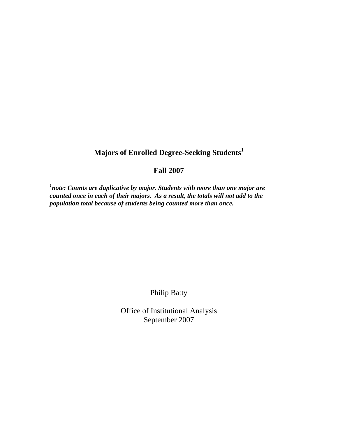## **Majors of Enrolled Degree-Seeking Students<sup>1</sup>**

## **Fall 2007**

<sup>1</sup>note: Counts are duplicative by major. Students with more than one major are *counted once in each of their majors. As a result, the totals will not add to the population total because of students being counted more than once.* 

Philip Batty

Office of Institutional Analysis September 2007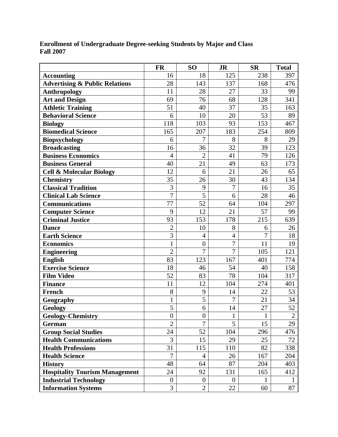| <b>Enrollment of Undergraduate Degree-seeking Students by Major and Class</b> |  |
|-------------------------------------------------------------------------------|--|
| <b>Fall 2007</b>                                                              |  |

|                                           | <b>FR</b>        | SO <sub>1</sub>  | <b>JR</b>      | <b>SR</b>      | <b>Total</b>   |
|-------------------------------------------|------------------|------------------|----------------|----------------|----------------|
| <b>Accounting</b>                         | 16               | 18               | 125            | 238            | 397            |
| <b>Advertising &amp; Public Relations</b> | 28               | 143              | 137            | 168            | 476            |
| <b>Anthropology</b>                       | 11               | 28               | 27             | 33             | 99             |
| <b>Art and Design</b>                     | 69               | 76               | 68             | 128            | 341            |
| <b>Athletic Training</b>                  | 51               | 40               | 37             | 35             | 163            |
| <b>Behavioral Science</b>                 | 6                | 10               | 20             | 53             | 89             |
| <b>Biology</b>                            | 118              | 103              | 93             | 153            | 467            |
| <b>Biomedical Science</b>                 | 165              | 207              | 183            | 254            | 809            |
| <b>Biopsychology</b>                      | 6                | 7                | 8              | 8              | 29             |
| <b>Broadcasting</b>                       | 16               | 36               | 32             | 39             | 123            |
| <b>Business Economics</b>                 | $\overline{4}$   | $\overline{2}$   | 41             | 79             | 126            |
| <b>Business General</b>                   | 40               | 21               | 49             | 63             | 173            |
| <b>Cell &amp; Molecular Biology</b>       | 12               | 6                | 21             | 26             | 65             |
| <b>Chemistry</b>                          | 35               | 26               | 30             | 43             | 134            |
| <b>Classical Tradition</b>                | 3                | 9                | 7              | 16             | 35             |
| <b>Clinical Lab Science</b>               | $\overline{7}$   | 5                | 6              | 28             | 46             |
| <b>Communications</b>                     | 77               | 52               | 64             | 104            | 297            |
| <b>Computer Science</b>                   | 9                | 12               | 21             | 57             | 99             |
| <b>Criminal Justice</b>                   | 93               | 153              | 178            | 215            | 639            |
| <b>Dance</b>                              | $\overline{2}$   | 10               | 8              | 6              | 26             |
| <b>Earth Science</b>                      | $\overline{3}$   | $\overline{4}$   | $\overline{4}$ | $\overline{7}$ | 18             |
| <b>Economics</b>                          | $\mathbf{1}$     | $\boldsymbol{0}$ | $\overline{7}$ | 11             | 19             |
| <b>Engineering</b>                        | $\overline{2}$   | $\overline{7}$   | $\overline{7}$ | 105            | 121            |
| <b>English</b>                            | 83               | 123              | 167            | 401            | 774            |
| <b>Exercise Science</b>                   | 18               | 46               | 54             | 40             | 158            |
| <b>Film Video</b>                         | 52               | 83               | 78             | 104            | 317            |
| <b>Finance</b>                            | 11               | 12               | 104            | 274            | 401            |
| <b>French</b>                             | 8                | 9                | 14             | 22             | 53             |
| Geography                                 | $\mathbf{1}$     | 5                | 7              | 21             | 34             |
| Geology                                   | $\overline{5}$   | 6                | 14             | 27             | 52             |
| <b>Geology-Chemistry</b>                  | $\boldsymbol{0}$ | $\boldsymbol{0}$ | $\mathbf{1}$   | $\mathbf{1}$   | $\overline{2}$ |
| German                                    | $\overline{2}$   | 7                | 5              | 15             | 29             |
| <b>Group Social Studies</b>               | 24               | 52               | 104            | 296            | 476            |
| <b>Health Communications</b>              | 3                | 15               | 29             | 25             | 72             |
| <b>Health Professions</b>                 | 31               | 115              | 110            | 82             | 338            |
| <b>Health Science</b>                     | $\overline{7}$   | 4                | 26             | 167            | 204            |
| <b>History</b>                            | 48               | 64               | 87             | 204            | 403            |
| <b>Hospitality Tourism Management</b>     | 24               | 92               | 131            | 165            | 412            |
| <b>Industrial Technology</b>              | $\boldsymbol{0}$ | $\overline{0}$   | $\overline{0}$ | 1              | $\mathbf{1}$   |
| <b>Information Systems</b>                | 3                | $\overline{2}$   | 22             | 60             | 87             |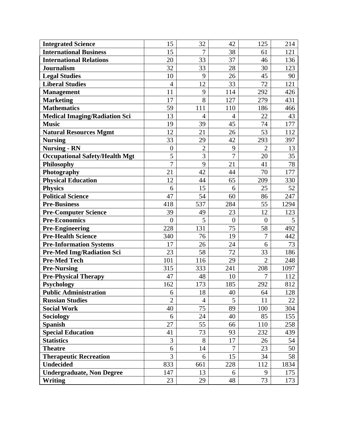| <b>Integrated Science</b>             | 15               | 32             | 42             | 125            | 214  |
|---------------------------------------|------------------|----------------|----------------|----------------|------|
| <b>International Business</b>         | 15               | 7              | 38             | 61             | 121  |
| <b>International Relations</b>        | 20               | 33             | 37             | 46             | 136  |
| <b>Journalism</b>                     | 32               | 33             | 28             | 30             | 123  |
| <b>Legal Studies</b>                  | 10               | 9              | 26             | 45             | 90   |
| <b>Liberal Studies</b>                | $\overline{4}$   | 12             | 33             | 72             | 121  |
| <b>Management</b>                     | 11               | 9              | 114            | 292            | 426  |
| <b>Marketing</b>                      | 17               | 8              | 127            | 279            | 431  |
| <b>Mathematics</b>                    | 59               | 111            | 110            | 186            | 466  |
| <b>Medical Imaging/Radiation Sci</b>  | 13               | $\overline{4}$ | 4              | 22             | 43   |
| <b>Music</b>                          | 19               | 39             | 45             | 74             | 177  |
| <b>Natural Resources Mgmt</b>         | 12               | 21             | 26             | 53             | 112  |
| <b>Nursing</b>                        | 33               | 29             | 42             | 293            | 397  |
| <b>Nursing - RN</b>                   | $\boldsymbol{0}$ | $\overline{2}$ | 9              | $\overline{2}$ | 13   |
| <b>Occupational Safety/Health Mgt</b> | 5                | 3              | $\overline{7}$ | 20             | 35   |
| Philosophy                            | $\overline{7}$   | 9              | 21             | 41             | 78   |
| Photography                           | 21               | 42             | 44             | 70             | 177  |
| <b>Physical Education</b>             | 12               | 44             | 65             | 209            | 330  |
| <b>Physics</b>                        | 6                | 15             | 6              | 25             | 52   |
| <b>Political Science</b>              | 47               | 54             | 60             | 86             | 247  |
| <b>Pre-Business</b>                   | 418              | 537            | 284            | 55             | 1294 |
| <b>Pre-Computer Science</b>           | 39               | 49             | 23             | 12             | 123  |
| <b>Pre-Economics</b>                  | $\overline{0}$   | 5              | $\overline{0}$ | $\overline{0}$ | 5    |
| <b>Pre-Engineering</b>                | 228              | 131            | 75             | 58             | 492  |
| <b>Pre-Health Science</b>             | 340              | 76             | 19             | 7              | 442  |
| <b>Pre-Information Systems</b>        | 17               | 26             | 24             | 6              | 73   |
| Pre-Med Img/Radiation Sci             | 23               | 58             | 72             | 33             | 186  |
| <b>Pre-Med Tech</b>                   | 101              | 116            | 29             | $\overline{2}$ | 248  |
| <b>Pre-Nursing</b>                    | 315              | 333            | 241            | 208            | 1097 |
| <b>Pre-Physical Therapy</b>           | 47               | 48             | 10             | 7              | 112  |
| <b>Psychology</b>                     | 162              | 173            | 185            | 292            | 812  |
| <b>Public Administration</b>          | 6                | 18             | 40             | 64             | 128  |
| <b>Russian Studies</b>                | $\overline{2}$   | 4              | 5              | 11             | 22   |
| <b>Social Work</b>                    | 40               | 75             | 89             | 100            | 304  |
| Sociology                             | 6                | 24             | 40             | 85             | 155  |
| <b>Spanish</b>                        | 27               | 55             | 66             | 110            | 258  |
| <b>Special Education</b>              | 41               | 73             | 93             | 232            | 439  |
| <b>Statistics</b>                     | 3                | 8              | 17             | 26             | 54   |
| <b>Theatre</b>                        | 6                | 14             | 7              | 23             | 50   |
| <b>Therapeutic Recreation</b>         | 3                | 6              | 15             | 34             | 58   |
| <b>Undecided</b>                      | 833              | 661            | 228            | 112            | 1834 |
| <b>Undergraduate, Non Degree</b>      | 147              | 13             | 6              | 9              | 175  |
| Writing                               | 23               | 29             | 48             | 73             | 173  |